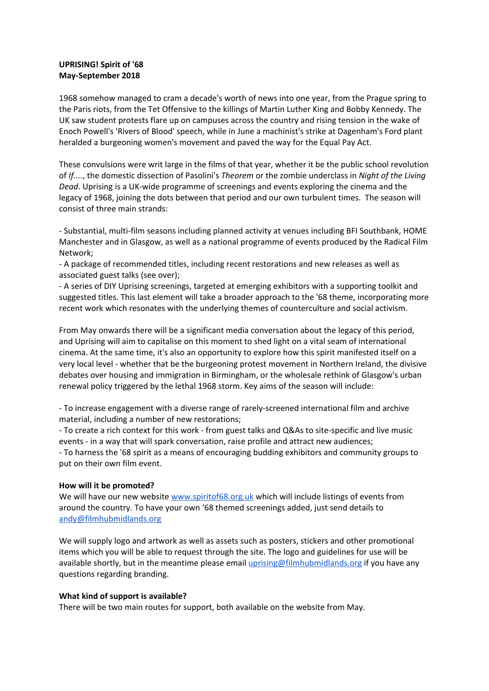# **UPRISING! Spirit of '68 May-September 2018**

1968 somehow managed to cram a decade's worth of news into one year, from the Prague spring to the Paris riots, from the Tet Offensive to the killings of Martin Luther King and Bobby Kennedy. The UK saw student protests flare up on campuses across the country and rising tension in the wake of Enoch Powell's 'Rivers of Blood' speech, while in June a machinist's strike at Dagenham's Ford plant heralded a burgeoning women's movement and paved the way for the Equal Pay Act.

These convulsions were writ large in the films of that year, whether it be the public school revolution of *If....*, the domestic dissection of Pasolini's *Theorem* or the zombie underclass in *Night of the Living Dead*. Uprising is a UK-wide programme of screenings and events exploring the cinema and the legacy of 1968, joining the dots between that period and our own turbulent times. The season will consist of three main strands:

- Substantial, multi-film seasons including planned activity at venues including BFI Southbank, HOME Manchester and in Glasgow, as well as a national programme of events produced by the Radical Film Network;

- A package of recommended titles, including recent restorations and new releases as well as associated guest talks (see over);

- A series of DIY Uprising screenings, targeted at emerging exhibitors with a supporting toolkit and suggested titles. This last element will take a broader approach to the '68 theme, incorporating more recent work which resonates with the underlying themes of counterculture and social activism.

From May onwards there will be a significant media conversation about the legacy of this period, and Uprising will aim to capitalise on this moment to shed light on a vital seam of international cinema. At the same time, it's also an opportunity to explore how this spirit manifested itself on a very local level - whether that be the burgeoning protest movement in Northern Ireland, the divisive debates over housing and immigration in Birmingham, or the wholesale rethink of Glasgow's urban renewal policy triggered by the lethal 1968 storm. Key aims of the season will include:

- To increase engagement with a diverse range of rarely-screened international film and archive material, including a number of new restorations;

- To create a rich context for this work - from guest talks and Q&As to site-specific and live music events - in a way that will spark conversation, raise profile and attract new audiences; - To harness the '68 spirit as a means of encouraging budding exhibitors and community groups to put on their own film event.

# **How will it be promoted?**

We will have our new website [www.spiritof68.org.uk](http://www.spiritof68.org.uk/) which will include listings of events from around the country. To have your own '68 themed screenings added, just send details to [andy@filmhubmidlands.org](mailto:andy@filmhubmidlands.org.uk)

We will supply logo and artwork as well as assets such as posters, stickers and other promotional items which you will be able to request through the site. The logo and guidelines for use will be available shortly, but in the meantime please email [uprising@filmhubmidlands.org](mailto:uprising@filmhubmidlands.org) if you have any questions regarding branding.

# **What kind of support is available?**

There will be two main routes for support, both available on the website from May.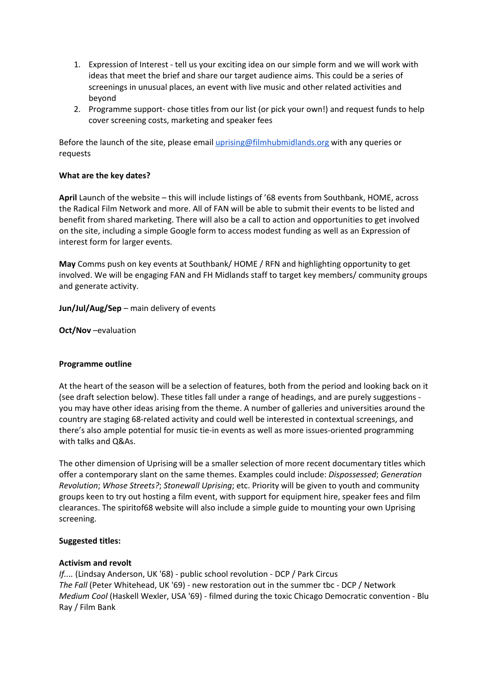- 1. Expression of Interest tell us your exciting idea on our simple form and we will work with ideas that meet the brief and share our target audience aims. This could be a series of screenings in unusual places, an event with live music and other related activities and beyond
- 2. Programme support- chose titles from our list (or pick your own!) and request funds to help cover screening costs, marketing and speaker fees

Before the launch of the site, please email [uprising@filmhubmidlands.org](mailto:uprising@filmhubmidlands.org) with any queries or requests

# **What are the key dates?**

**April** Launch of the website – this will include listings of '68 events from Southbank, HOME, across the Radical Film Network and more. All of FAN will be able to submit their events to be listed and benefit from shared marketing. There will also be a call to action and opportunities to get involved on the site, including a simple Google form to access modest funding as well as an Expression of interest form for larger events.

**May** Comms push on key events at Southbank/ HOME / RFN and highlighting opportunity to get involved. We will be engaging FAN and FH Midlands staff to target key members/ community groups and generate activity.

**Jun/Jul/Aug/Sep** – main delivery of events

**Oct/Nov** –evaluation

#### **Programme outline**

At the heart of the season will be a selection of features, both from the period and looking back on it (see draft selection below). These titles fall under a range of headings, and are purely suggestions you may have other ideas arising from the theme. A number of galleries and universities around the country are staging 68-related activity and could well be interested in contextual screenings, and there's also ample potential for music tie-in events as well as more issues-oriented programming with talks and Q&As.

The other dimension of Uprising will be a smaller selection of more recent documentary titles which offer a contemporary slant on the same themes. Examples could include: *Dispossessed*; *Generation Revolution*; *Whose Streets?*; *Stonewall Uprising*; etc. Priority will be given to youth and community groups keen to try out hosting a film event, with support for equipment hire, speaker fees and film clearances. The spiritof68 website will also include a simple guide to mounting your own Uprising screening.

#### **Suggested titles:**

#### **Activism and revolt**

*If....* (Lindsay Anderson, UK '68) - public school revolution - DCP / Park Circus *The Fall* (Peter Whitehead, UK '69) - new restoration out in the summer tbc - DCP / Network *Medium Cool* (Haskell Wexler, USA '69) - filmed during the toxic Chicago Democratic convention - Blu Ray / Film Bank